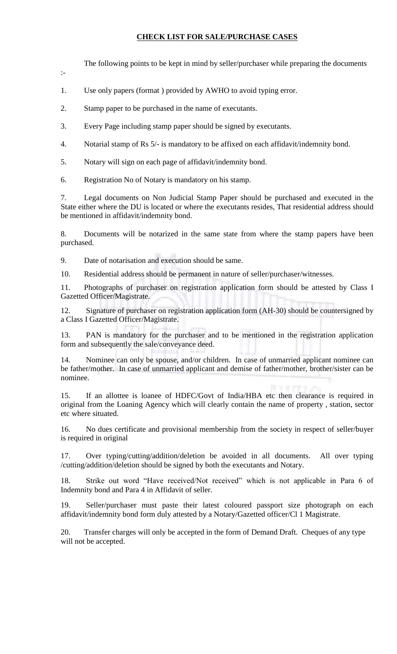## **CHECK LIST FOR SALE/PURCHASE CASES**

The following points to be kept in mind by seller/purchaser while preparing the documents

:-

1. Use only papers (format ) provided by AWHO to avoid typing error.

2. Stamp paper to be purchased in the name of executants.

3. Every Page including stamp paper should be signed by executants.

4. Notarial stamp of Rs 5/- is mandatory to be affixed on each affidavit/indemnity bond.

5. Notary will sign on each page of affidavit/indemnity bond.

6. Registration No of Notary is mandatory on his stamp.

7. Legal documents on Non Judicial Stamp Paper should be purchased and executed in the State either where the DU is located or where the executants resides, That residential address should be mentioned in affidavit/indemnity bond.

8. Documents will be notarized in the same state from where the stamp papers have been purchased.

9. Date of notarisation and execution should be same.

10. Residential address should be permanent in nature of seller/purchaser/witnesses.

11. Photographs of purchaser on registration application form should be attested by Class I Gazetted Officer/Magistrate.

12. Signature of purchaser on registration application form (AH-30) should be countersigned by a Class I Gazetted Officer/Magistrate.

13. PAN is mandatory for the purchaser and to be mentioned in the registration application form and subsequently the sale/conveyance deed.

Nominee can only be spouse, and/or children. In case of unmarried applicant nominee can be father/mother. In case of unmarried applicant and demise of father/mother, brother/sister can be nominee.

15. If an allottee is loanee of HDFC/Govt of India/HBA etc then clearance is required in original from the Loaning Agency which will clearly contain the name of property , station, sector etc where situated.

16. No dues certificate and provisional membership from the society in respect of seller/buyer is required in original

17. Over typing/cutting/addition/deletion be avoided in all documents. All over typing /cutting/addition/deletion should be signed by both the executants and Notary.

18. Strike out word "Have received/Not received" which is not applicable in Para 6 of Indemnity bond and Para 4 in Affidavit of seller.

19. Seller/purchaser must paste their latest coloured passport size photograph on each affidavit/indemnity bond form duly attested by a Notary/Gazetted officer/Cl 1 Magistrate.

20. Transfer charges will only be accepted in the form of Demand Draft. Cheques of any type will not be accepted.